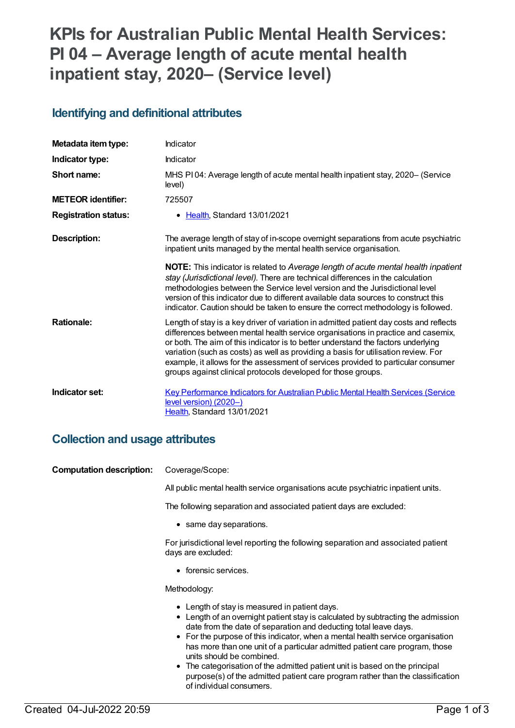# **KPIs for Australian Public Mental Health Services: PI 04 – Average length of acute mental health inpatient stay, 2020– (Service level)**

#### **Identifying and definitional attributes**

| Metadata item type:         | Indicator                                                                                                                                                                                                                                                                                                                                                                                                                                                                                                   |
|-----------------------------|-------------------------------------------------------------------------------------------------------------------------------------------------------------------------------------------------------------------------------------------------------------------------------------------------------------------------------------------------------------------------------------------------------------------------------------------------------------------------------------------------------------|
| Indicator type:             | Indicator                                                                                                                                                                                                                                                                                                                                                                                                                                                                                                   |
| Short name:                 | MHS PI04: Average length of acute mental health inpatient stay, 2020– (Service<br>level)                                                                                                                                                                                                                                                                                                                                                                                                                    |
| <b>METEOR identifier:</b>   | 725507                                                                                                                                                                                                                                                                                                                                                                                                                                                                                                      |
| <b>Registration status:</b> | • Health, Standard 13/01/2021                                                                                                                                                                                                                                                                                                                                                                                                                                                                               |
| <b>Description:</b>         | The average length of stay of in-scope overnight separations from acute psychiatric<br>inpatient units managed by the mental health service organisation.                                                                                                                                                                                                                                                                                                                                                   |
|                             | NOTE: This indicator is related to Average length of acute mental health inpatient<br>stay (Jurisdictional level). There are technical differences in the calculation<br>methodologies between the Service level version and the Jurisdictional level<br>version of this indicator due to different available data sources to construct this<br>indicator. Caution should be taken to ensure the correct methodology is followed.                                                                           |
| <b>Rationale:</b>           | Length of stay is a key driver of variation in admitted patient day costs and reflects<br>differences between mental health service organisations in practice and casemix,<br>or both. The aim of this indicator is to better understand the factors underlying<br>variation (such as costs) as well as providing a basis for utilisation review. For<br>example, it allows for the assessment of services provided to particular consumer<br>groups against clinical protocols developed for those groups. |
| Indicator set:              | Key Performance Indicators for Australian Public Mental Health Services (Service<br>level version) (2020-)<br>Health, Standard 13/01/2021                                                                                                                                                                                                                                                                                                                                                                   |

#### **Collection and usage attributes**

| <b>Computation description:</b> | Coverage/Scope:                                                                                                                                                                                                                                                                                                                                                                                                                                                                                                                                                      |
|---------------------------------|----------------------------------------------------------------------------------------------------------------------------------------------------------------------------------------------------------------------------------------------------------------------------------------------------------------------------------------------------------------------------------------------------------------------------------------------------------------------------------------------------------------------------------------------------------------------|
|                                 | All public mental health service organisations acute psychiatric inpatient units.                                                                                                                                                                                                                                                                                                                                                                                                                                                                                    |
|                                 | The following separation and associated patient days are excluded:                                                                                                                                                                                                                                                                                                                                                                                                                                                                                                   |
|                                 | • same day separations.                                                                                                                                                                                                                                                                                                                                                                                                                                                                                                                                              |
|                                 | For jurisdictional level reporting the following separation and associated patient<br>days are excluded:                                                                                                                                                                                                                                                                                                                                                                                                                                                             |
|                                 | • forensic services.                                                                                                                                                                                                                                                                                                                                                                                                                                                                                                                                                 |
|                                 | Methodology:                                                                                                                                                                                                                                                                                                                                                                                                                                                                                                                                                         |
|                                 | • Length of stay is measured in patient days.<br>• Length of an overnight patient stay is calculated by subtracting the admission<br>date from the date of separation and deducting total leave days.<br>• For the purpose of this indicator, when a mental health service organisation<br>has more than one unit of a particular admitted patient care program, those<br>units should be combined.<br>• The categorisation of the admitted patient unit is based on the principal<br>purpose(s) of the admitted patient care program rather than the classification |

of individual consumers.